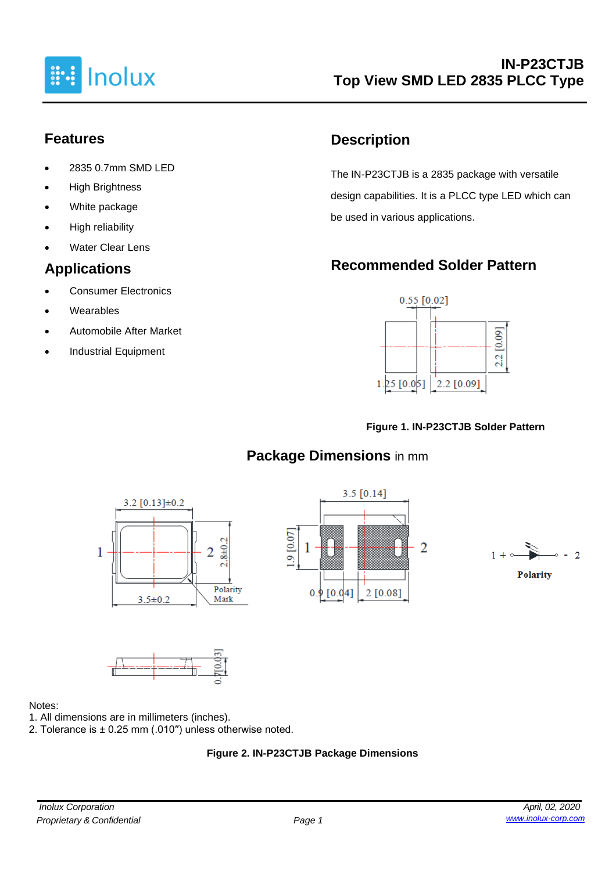

# **Features**

- 2835 0.7mm SMD LED
- **High Brightness**
- White package
- High reliability
- **Water Clear Lens**

# **Applications**

- Consumer Electronics
- **Wearables**
- Automobile After Market
- Industrial Equipment

# **Description**

The IN-P23CTJB is a 2835 package with versatile design capabilities. It is a PLCC type LED which can be used in various applications.

# **Recommended Solder Pattern**



#### **Figure 1. IN-P23CTJB Solder Pattern**

# **Package Dimensions** in mm









#### Notes:

- 1. All dimensions are in millimeters (inches).
- 2. Tolerance is ± 0.25 mm (.010′′) unless otherwise noted.

#### **Figure 2. IN-P23CTJB Package Dimensions**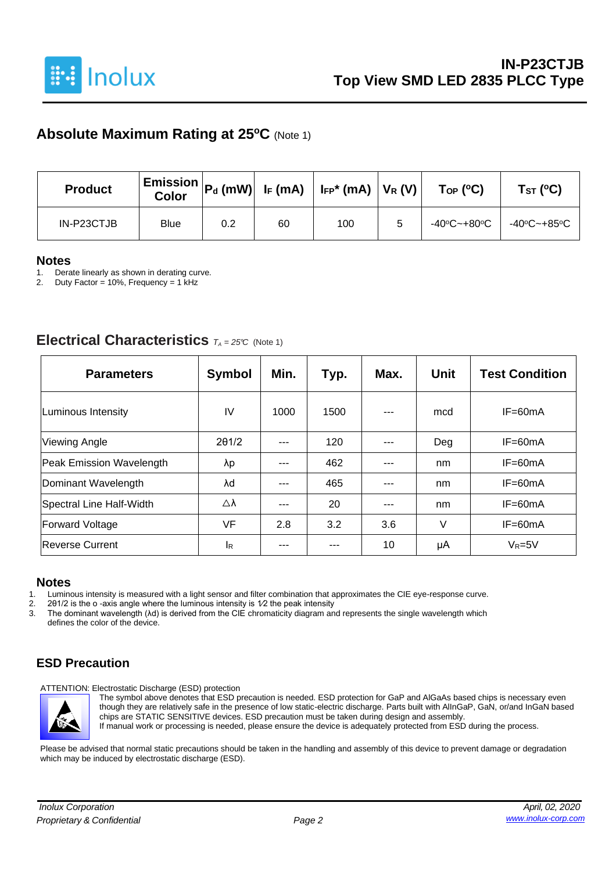

### **Absolute Maximum Rating at 25<sup>o</sup>C** (Note 1)

| <b>Product</b> | <b>Color</b> |     |    | $\mid$ Emission $\mid$ P $_{\sf d}$ (mW) $\mid$ I <sub>F</sub> (mA) $\mid$ I <sub>FP</sub> * (mA) $\mid$ V <sub>R</sub> (V) $\mid$ | $\mathsf{Top}$ (°C)                                                 | Tsт (°C) |
|----------------|--------------|-----|----|------------------------------------------------------------------------------------------------------------------------------------|---------------------------------------------------------------------|----------|
| IN-P23CTJB     | <b>Blue</b>  | 0.2 | 60 | 100                                                                                                                                | $-40^{\circ}$ C~+80 $^{\circ}$ C   $-40^{\circ}$ C~+85 $^{\circ}$ C |          |

#### **Notes**

1. Derate linearly as shown in derating curve.<br>2. Duty Factor = 10%. Frequency = 1 kHz

Duty Factor = 10%, Frequency = 1 kHz

#### **Electrical Characteristics**  $T_A = 25^\circ C$  (Note 1)

| <b>Parameters</b>        | <b>Symbol</b> | Min. | Typ. | Max.    | <b>Unit</b> | <b>Test Condition</b> |
|--------------------------|---------------|------|------|---------|-------------|-----------------------|
| Luminous Intensity       | IV            | 1000 | 1500 | $- - -$ | mcd         | $IF=60mA$             |
| <b>Viewing Angle</b>     | 201/2         |      | 120  |         | Deg         | $IF=60mA$             |
| Peak Emission Wavelength | λp            | ---  | 462  | ---     | nm          | $IF=60mA$             |
| Dominant Wavelength      | λd            | ---  | 465  | ---     | nm          | $IF=60mA$             |
| Spectral Line Half-Width | Δλ            | ---  | 20   | ---     | nm          | $IF=60mA$             |
| <b>Forward Voltage</b>   | VF            | 2.8  | 3.2  | 3.6     | V           | $IF=60mA$             |
| Reverse Current          | <b>I</b> R    |      |      | 10      | μA          | $V_R = 5V$            |

#### **Notes**

1. Luminous intensity is measured with a light sensor and filter combination that approximates the CIE eye-response curve.<br>2. 201/2 is the o-axis angle where the luminous intensity is  $1/2$  the peak intensity

2. 201/2 is the o -axis angle where the luminous intensity is  $1/2$  the peak intensity 3. The dominant wavelength  $(\lambda d)$  is derived from the CIE chromaticity diagram an

3. The dominant wavelength (λd) is derived from the CIE chromaticity diagram and represents the single wavelength which defines the color of the device.

#### **ESD Precaution**

ATTENTION: Electrostatic Discharge (ESD) protection



The symbol above denotes that ESD precaution is needed. ESD protection for GaP and AlGaAs based chips is necessary even though they are relatively safe in the presence of low static-electric discharge. Parts built with AlInGaP, GaN, or/and InGaN based chips are STATIC SENSITIVE devices. ESD precaution must be taken during design and assembly. If manual work or processing is needed, please ensure the device is adequately protected from ESD during the process.

Please be advised that normal static precautions should be taken in the handling and assembly of this device to prevent damage or degradation which may be induced by electrostatic discharge (ESD).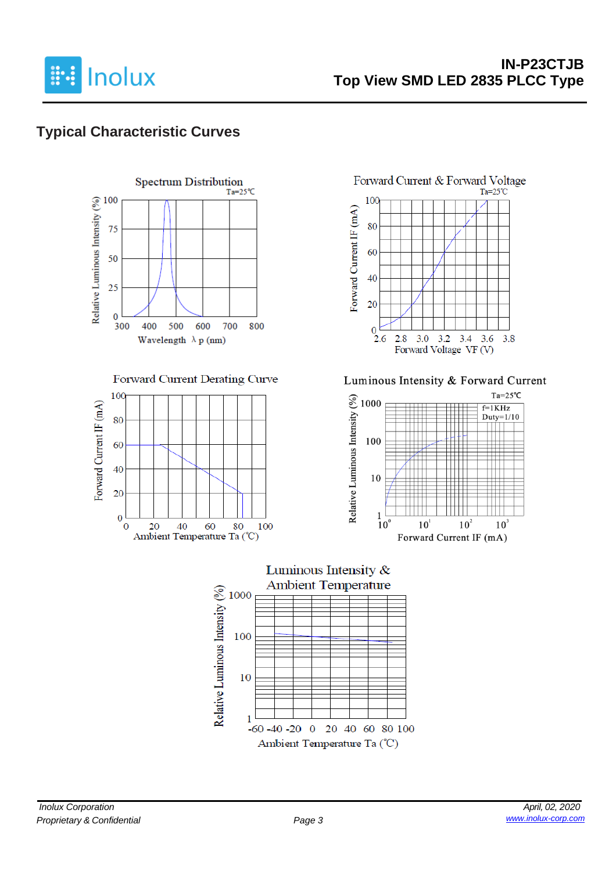

# **Typical Characteristic Curves**



#### Forward Current Derating Curve





Luminous Intensity & Forward Current



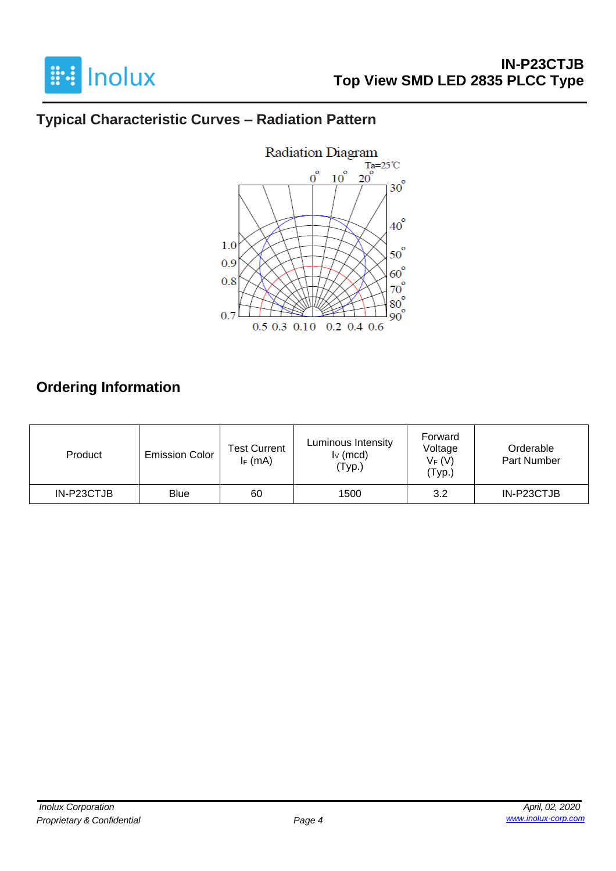

# **Typical Characteristic Curves – Radiation Pattern**



# **Ordering Information**

| Product    | <b>Emission Color</b> | <b>Test Current</b><br>$I_F$ (mA) | Luminous Intensity<br>$I_V$ (mcd)<br>'Typ.) | Forward<br>Voltage<br>$V_F(V)$<br>(Typ.) | Orderable<br>Part Number |
|------------|-----------------------|-----------------------------------|---------------------------------------------|------------------------------------------|--------------------------|
| IN-P23CTJB | <b>Blue</b>           | 60                                | 1500                                        | 3.2                                      | IN-P23CTJB               |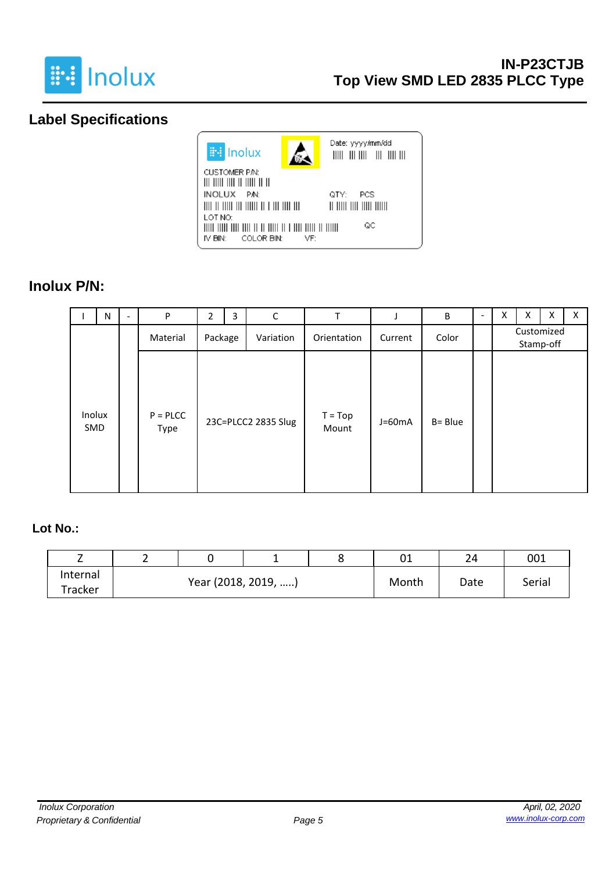

# **Label Specifications**



#### **Inolux P/N:**

|               | N | $\overline{\phantom{a}}$ | P                     | 2                    | 3 | $\mathsf C$         | T                  |          | B       | $\overline{\phantom{0}}$ | х | X | X | X. |
|---------------|---|--------------------------|-----------------------|----------------------|---|---------------------|--------------------|----------|---------|--------------------------|---|---|---|----|
|               |   |                          | Material              | Package<br>Variation |   | Orientation         | Current            | Color    |         | Customized<br>Stamp-off  |   |   |   |    |
| Inolux<br>SMD |   |                          | $P = P L C C$<br>Type |                      |   | 23C=PLCC2 2835 Slug | $T = Top$<br>Mount | $J=60mA$ | B= Blue |                          |   |   |   |    |

#### **Lot No.:**

| -        |  |                     |       | 01   | 24     | 001 |
|----------|--|---------------------|-------|------|--------|-----|
| Internal |  | Year (2018, 2019, ) | Month | Date | Serial |     |
| Tracker  |  |                     |       |      |        |     |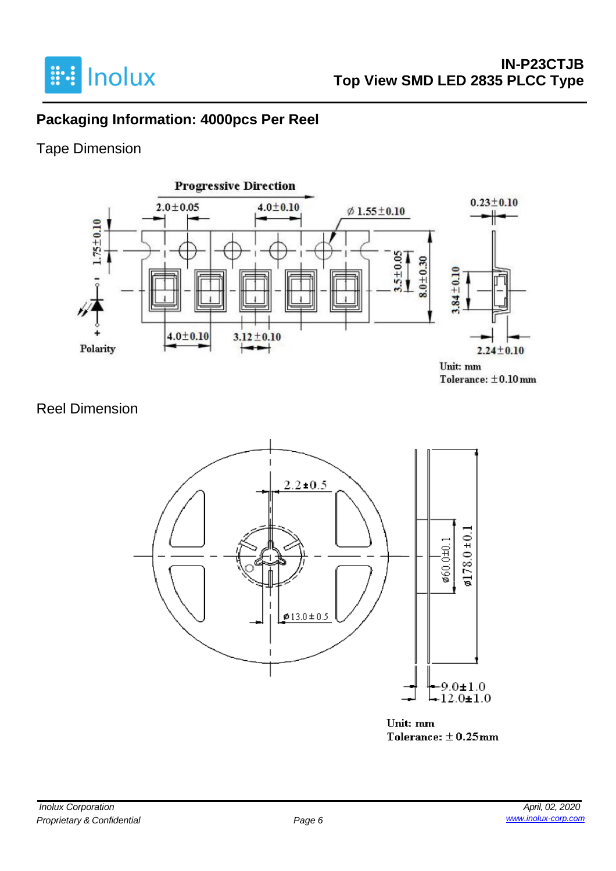

# **Packaging Information: 4000pcs Per Reel**

# Tape Dimension



### Reel Dimension



Unit: mm Tolerance:  $\pm$  0.25mm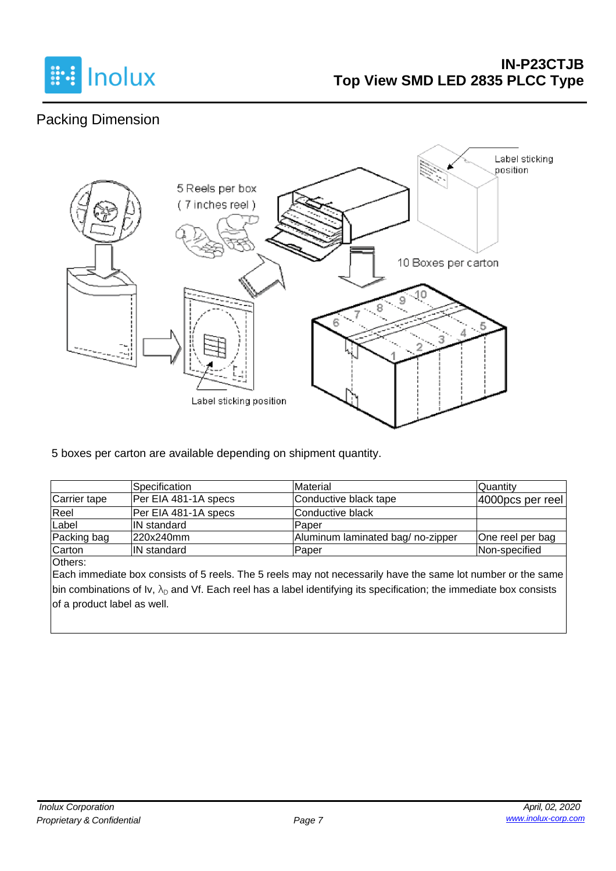

# Packing Dimension



5 boxes per carton are available depending on shipment quantity.

|              | Specification        | Material                         | Quantity         |
|--------------|----------------------|----------------------------------|------------------|
| Carrier tape | Per EIA 481-1A specs | Conductive black tape            | 4000pcs per reel |
| Reel         | Per EIA 481-1A specs | lConductive black                |                  |
| Label        | <b>IN</b> standard   | lPaper                           |                  |
| Packing bag  | 220x240mm            | Aluminum laminated bag/no-zipper | One reel per bag |
| Carton       | <b>IN standard</b>   | Paper                            | Non-specified    |

Others:

Each immediate box consists of 5 reels. The 5 reels may not necessarily have the same lot number or the same bin combinations of Iv,  $\lambda_D$  and Vf. Each reel has a label identifying its specification; the immediate box consists of a product label as well.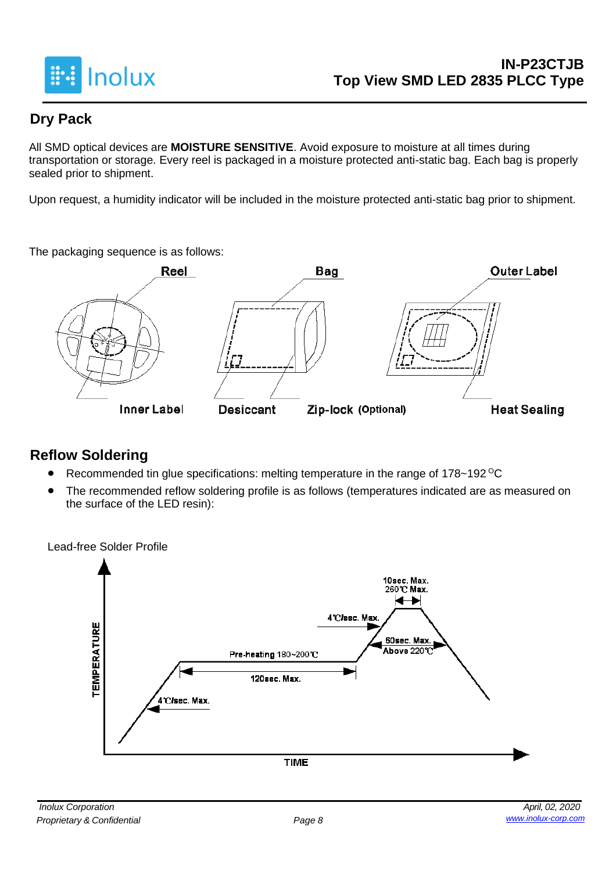

# **Dry Pack**

All SMD optical devices are **MOISTURE SENSITIVE**. Avoid exposure to moisture at all times during transportation or storage. Every reel is packaged in a moisture protected anti-static bag. Each bag is properly sealed prior to shipment.

Upon request, a humidity indicator will be included in the moisture protected anti-static bag prior to shipment.

The packaging sequence is as follows:



# **Reflow Soldering**

- Recommended tin glue specifications: melting temperature in the range of 178~192 <sup>o</sup>C
- The recommended reflow soldering profile is as follows (temperatures indicated are as measured on the surface of the LED resin):

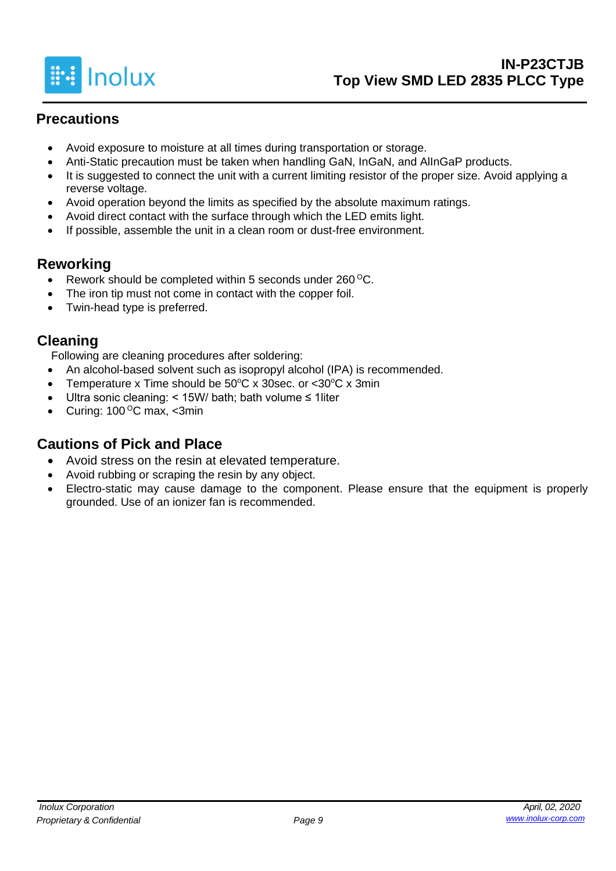

# **Precautions**

- Avoid exposure to moisture at all times during transportation or storage.
- Anti-Static precaution must be taken when handling GaN, InGaN, and AlInGaP products.
- It is suggested to connect the unit with a current limiting resistor of the proper size. Avoid applying a reverse voltage.
- Avoid operation beyond the limits as specified by the absolute maximum ratings.
- Avoid direct contact with the surface through which the LED emits light.
- If possible, assemble the unit in a clean room or dust-free environment.

### **Reworking**

- Rework should be completed within 5 seconds under  $260^{\circ}$ C.
- The iron tip must not come in contact with the copper foil.
- Twin-head type is preferred.

### **Cleaning**

Following are cleaning procedures after soldering:

- An alcohol-based solvent such as isopropyl alcohol (IPA) is recommended.
- Temperature x Time should be  $50^{\circ}$ C x 30sec. or <30 $^{\circ}$ C x 3min
- Ultra sonic cleaning: < 15W/ bath; bath volume ≤ 1liter
- Curing:  $100^{\circ}$ C max, <3min

# **Cautions of Pick and Place**

- Avoid stress on the resin at elevated temperature.
- Avoid rubbing or scraping the resin by any object.
- Electro-static may cause damage to the component. Please ensure that the equipment is properly grounded. Use of an ionizer fan is recommended.